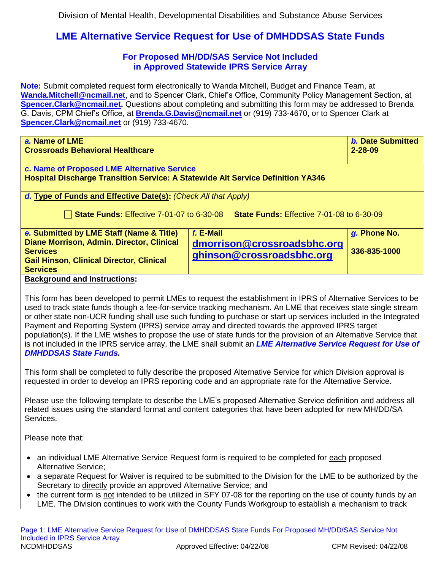## **LME Alternative Service Request for Use of DMHDDSAS State Funds**

## **For Proposed MH/DD/SAS Service Not Included in Approved Statewide IPRS Service Array**

**Note:** Submit completed request form electronically to Wanda Mitchell, Budget and Finance Team, at **[Wanda.Mitchell@ncmail.net](mailto:Wanda.Mitchell@ncmail.net)**, and to Spencer Clark, Chief's Office, Community Policy Management Section, at **[Spencer.Clark@ncmail.net.](mailto:Spencer.Clark@ncmail.net)** Questions about completing and submitting this form may be addressed to Brenda G. Davis, CPM Chief's Office, at **[Brenda.G.Davis@ncmail.net](mailto:Brenda.G.Davis@ncmail.net)** or (919) 733-4670, or to Spencer Clark at **[Spencer.Clark@ncmail.net](mailto:Spencer.Clark@ncmail.net)** or (919) 733-4670.

| a. Name of LME                                                                         |                                                                                            | <b>b. Date Submitted</b> |
|----------------------------------------------------------------------------------------|--------------------------------------------------------------------------------------------|--------------------------|
| <b>Crossroads Behavioral Healthcare</b>                                                |                                                                                            | $2 - 28 - 09$            |
|                                                                                        |                                                                                            |                          |
| c. Name of Proposed LME Alternative Service                                            |                                                                                            |                          |
| <b>Hospital Discharge Transition Service: A Statewide Alt Service Definition YA346</b> |                                                                                            |                          |
|                                                                                        |                                                                                            |                          |
| d. Type of Funds and Effective Date(s): (Check All that Apply)                         |                                                                                            |                          |
|                                                                                        |                                                                                            |                          |
|                                                                                        | <b>State Funds: Effective 7-01-07 to 6-30-08 State Funds: Effective 7-01-08 to 6-30-09</b> |                          |
|                                                                                        |                                                                                            |                          |
| e. Submitted by LME Staff (Name & Title)                                               | f. E-Mail                                                                                  | g. Phone No.             |
| Diane Morrison, Admin. Director, Clinical                                              | dmorrison@crossroadsbhc.org                                                                |                          |
| <b>Services</b>                                                                        |                                                                                            | 336-835-1000             |
| <b>Gail Hinson, Clinical Director, Clinical</b>                                        | ghinson@crossroadsbhc.org                                                                  |                          |
| <b>Services</b>                                                                        |                                                                                            |                          |
| <b>Background and Instructions:</b>                                                    |                                                                                            |                          |
|                                                                                        |                                                                                            |                          |
|                                                                                        |                                                                                            |                          |

This form has been developed to permit LMEs to request the establishment in IPRS of Alternative Services to be used to track state funds though a fee-for-service tracking mechanism. An LME that receives state single stream or other state non-UCR funding shall use such funding to purchase or start up services included in the Integrated Payment and Reporting System (IPRS) service array and directed towards the approved IPRS target population(s). If the LME wishes to propose the use of state funds for the provision of an Alternative Service that is not included in the IPRS service array, the LME shall submit an *LME Alternative Service Request for Use of DMHDDSAS State Funds.* 

This form shall be completed to fully describe the proposed Alternative Service for which Division approval is requested in order to develop an IPRS reporting code and an appropriate rate for the Alternative Service.

Please use the following template to describe the LME's proposed Alternative Service definition and address all related issues using the standard format and content categories that have been adopted for new MH/DD/SA Services.

Please note that:

- an individual LME Alternative Service Request form is required to be completed for each proposed Alternative Service;
- a separate Request for Waiver is required to be submitted to the Division for the LME to be authorized by the Secretary to directly provide an approved Alternative Service; and
- the current form is not intended to be utilized in SFY 07-08 for the reporting on the use of county funds by an LME. The Division continues to work with the County Funds Workgroup to establish a mechanism to track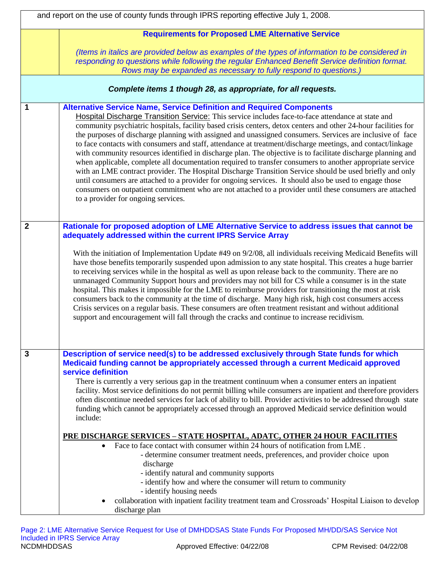|                | and report on the use of county funds through IPRS reporting effective July 1, 2008.                                                                                                                                                                                                                                                                                                                                                                                                                                                                                                                                                                                                                                                                                                                                                                                                                                                                                                                                                                                                                                                 |  |
|----------------|--------------------------------------------------------------------------------------------------------------------------------------------------------------------------------------------------------------------------------------------------------------------------------------------------------------------------------------------------------------------------------------------------------------------------------------------------------------------------------------------------------------------------------------------------------------------------------------------------------------------------------------------------------------------------------------------------------------------------------------------------------------------------------------------------------------------------------------------------------------------------------------------------------------------------------------------------------------------------------------------------------------------------------------------------------------------------------------------------------------------------------------|--|
|                | <b>Requirements for Proposed LME Alternative Service</b>                                                                                                                                                                                                                                                                                                                                                                                                                                                                                                                                                                                                                                                                                                                                                                                                                                                                                                                                                                                                                                                                             |  |
|                | (Items in italics are provided below as examples of the types of information to be considered in<br>responding to questions while following the regular Enhanced Benefit Service definition format.<br>Rows may be expanded as necessary to fully respond to questions.)                                                                                                                                                                                                                                                                                                                                                                                                                                                                                                                                                                                                                                                                                                                                                                                                                                                             |  |
|                | Complete items 1 though 28, as appropriate, for all requests.                                                                                                                                                                                                                                                                                                                                                                                                                                                                                                                                                                                                                                                                                                                                                                                                                                                                                                                                                                                                                                                                        |  |
| 1              | <b>Alternative Service Name, Service Definition and Required Components</b><br>Hospital Discharge Transition Service: This service includes face-to-face attendance at state and<br>community psychiatric hospitals, facility based crisis centers, detox centers and other 24-hour facilities for<br>the purposes of discharge planning with assigned and unassigned consumers. Services are inclusive of face<br>to face contacts with consumers and staff, attendance at treatment/discharge meetings, and contact/linkage<br>with community resources identified in discharge plan. The objective is to facilitate discharge planning and<br>when applicable, complete all documentation required to transfer consumers to another appropriate service<br>with an LME contract provider. The Hospital Discharge Transition Service should be used briefly and only<br>until consumers are attached to a provider for ongoing services. It should also be used to engage those<br>consumers on outpatient commitment who are not attached to a provider until these consumers are attached<br>to a provider for ongoing services. |  |
| $\overline{2}$ | Rationale for proposed adoption of LME Alternative Service to address issues that cannot be<br>adequately addressed within the current IPRS Service Array<br>With the initiation of Implementation Update #49 on 9/2/08, all individuals receiving Medicaid Benefits will<br>have those benefits temporarily suspended upon admission to any state hospital. This creates a huge barrier<br>to receiving services while in the hospital as well as upon release back to the community. There are no<br>unmanaged Community Support hours and providers may not bill for CS while a consumer is in the state<br>hospital. This makes it impossible for the LME to reimburse providers for transitioning the most at risk<br>consumers back to the community at the time of discharge. Many high risk, high cost consumers access<br>Crisis services on a regular basis. These consumers are often treatment resistant and without additional<br>support and encouragement will fall through the cracks and continue to increase recidivism.                                                                                           |  |
| 3              | Description of service need(s) to be addressed exclusively through State funds for which<br>Medicaid funding cannot be appropriately accessed through a current Medicaid approved<br>service definition<br>There is currently a very serious gap in the treatment continuum when a consumer enters an inpatient<br>facility. Most service definitions do not permit billing while consumers are inpatient and therefore providers<br>often discontinue needed services for lack of ability to bill. Provider activities to be addressed through state<br>funding which cannot be appropriately accessed through an approved Medicaid service definition would<br>include:<br><u> PRE DISCHARGE SERVICES – STATE HOSPITAL, ADATC, OTHER 24 HOUR FACILITIES</u><br>Face to face contact with consumer within 24 hours of notification from LME.<br>$\bullet$<br>- determine consumer treatment needs, preferences, and provider choice upon<br>discharge<br>- identify natural and community supports<br>- identify how and where the consumer will return to community<br>- identify housing needs                                    |  |
|                | collaboration with inpatient facility treatment team and Crossroads' Hospital Liaison to develop<br>discharge plan                                                                                                                                                                                                                                                                                                                                                                                                                                                                                                                                                                                                                                                                                                                                                                                                                                                                                                                                                                                                                   |  |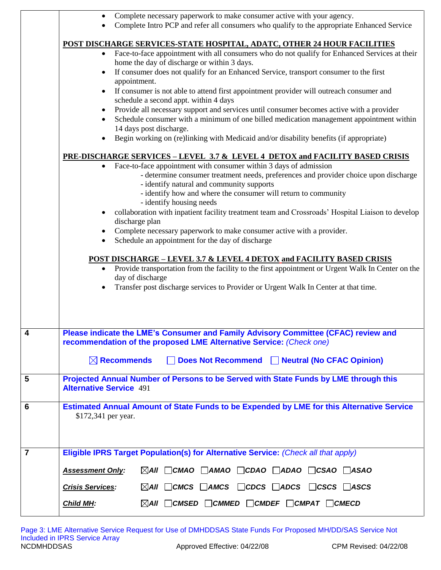|                | Complete necessary paperwork to make consumer active with your agency.                                                                                                                            |  |  |
|----------------|---------------------------------------------------------------------------------------------------------------------------------------------------------------------------------------------------|--|--|
|                | Complete Intro PCP and refer all consumers who qualify to the appropriate Enhanced Service                                                                                                        |  |  |
|                | POST DISCHARGE SERVICES-STATE HOSPITAL, ADATC, OTHER 24 HOUR FACILITIES                                                                                                                           |  |  |
|                | Face-to-face appointment with all consumers who do not qualify for Enhanced Services at their<br>$\bullet$<br>home the day of discharge or within 3 days.                                         |  |  |
|                | If consumer does not qualify for an Enhanced Service, transport consumer to the first                                                                                                             |  |  |
|                | appointment.<br>If consumer is not able to attend first appointment provider will outreach consumer and                                                                                           |  |  |
|                | schedule a second appt. within 4 days                                                                                                                                                             |  |  |
|                | Provide all necessary support and services until consumer becomes active with a provider                                                                                                          |  |  |
|                | Schedule consumer with a minimum of one billed medication management appointment within<br>14 days post discharge.                                                                                |  |  |
|                | Begin working on (re)linking with Medicaid and/or disability benefits (if appropriate)                                                                                                            |  |  |
|                | PRE-DISCHARGE SERVICES - LEVEL 3.7 & LEVEL 4 DETOX and FACILITY BASED CRISIS                                                                                                                      |  |  |
|                | Face-to-face appointment with consumer within 3 days of admission<br>$\bullet$<br>- determine consumer treatment needs, preferences and provider choice upon discharge                            |  |  |
|                | - identify natural and community supports                                                                                                                                                         |  |  |
|                | - identify how and where the consumer will return to community<br>- identify housing needs                                                                                                        |  |  |
|                | collaboration with inpatient facility treatment team and Crossroads' Hospital Liaison to develop                                                                                                  |  |  |
|                | discharge plan                                                                                                                                                                                    |  |  |
|                | Complete necessary paperwork to make consumer active with a provider.<br>Schedule an appointment for the day of discharge                                                                         |  |  |
|                |                                                                                                                                                                                                   |  |  |
|                | <b>POST DISCHARGE – LEVEL 3.7 &amp; LEVEL 4 DETOX and FACILITY BASED CRISIS</b><br>Provide transportation from the facility to the first appointment or Urgent Walk In Center on the<br>$\bullet$ |  |  |
|                | day of discharge                                                                                                                                                                                  |  |  |
|                | Transfer post discharge services to Provider or Urgent Walk In Center at that time.                                                                                                               |  |  |
|                |                                                                                                                                                                                                   |  |  |
|                |                                                                                                                                                                                                   |  |  |
| 4              | Please indicate the LME's Consumer and Family Advisory Committee (CFAC) review and                                                                                                                |  |  |
|                | recommendation of the proposed LME Alternative Service: (Check one)                                                                                                                               |  |  |
|                | $\boxtimes$ Recommends<br>Does Not Recommend Neutral (No CFAC Opinion)                                                                                                                            |  |  |
| 5              | Projected Annual Number of Persons to be Served with State Funds by LME through this<br><b>Alternative Service 491</b>                                                                            |  |  |
| 6              | Estimated Annual Amount of State Funds to be Expended by LME for this Alternative Service                                                                                                         |  |  |
|                | \$172,341 per year.                                                                                                                                                                               |  |  |
|                |                                                                                                                                                                                                   |  |  |
|                |                                                                                                                                                                                                   |  |  |
| $\overline{7}$ | Eligible IPRS Target Population(s) for Alternative Service: (Check all that apply)                                                                                                                |  |  |
|                | $\boxtimes$ AII $\Box$ CMAO $\Box$ AMAO $\Box$ CDAO $\Box$ ADAO $\Box$ CSAO $\Box$ ASAO<br><b>Assessment Only:</b>                                                                                |  |  |
|                | $\boxtimes$ AII $\Box$ CMCS $\Box$ AMCS $\Box$ CDCS $\Box$ ADCS $\Box$ CSCS $\Box$ ASCS<br><b>Crisis Services:</b>                                                                                |  |  |
|                | $\boxtimes$ AII $\Box$ CMSED $\Box$ CMMED $\Box$ CMDEF $\Box$ CMPAT $\Box$ CMECD<br><b>Child MH:</b>                                                                                              |  |  |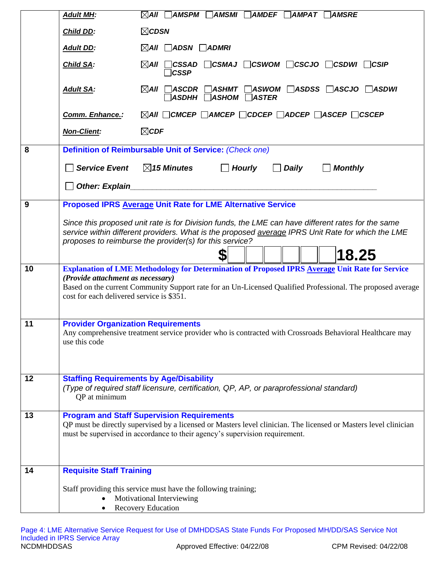|    | <b>Adult MH:</b>                                                               | $\boxtimes$ AII $\Box$ AMSPM $\Box$ AMSMI $\Box$ AMDEF $\Box$ AMPAT $\Box$ AMSRE                                                                                                                                                                                                 |
|----|--------------------------------------------------------------------------------|----------------------------------------------------------------------------------------------------------------------------------------------------------------------------------------------------------------------------------------------------------------------------------|
|    | <b>Child DD:</b>                                                               | $\boxtimes$ CDSN                                                                                                                                                                                                                                                                 |
|    | <b>Adult DD:</b>                                                               | $\boxtimes$ AII $\Box$ ADSN $\Box$ ADMRI                                                                                                                                                                                                                                         |
|    | <b>Child SA:</b>                                                               | $\boxtimes$ AII $\Box$ CSSAD $\Box$ CSMAJ $\Box$ CSWOM $\Box$ CSCJO $\Box$ CSDWI $\Box$ CSIP<br>]CSSP                                                                                                                                                                            |
|    | <b>Adult SA:</b>                                                               | $\boxtimes$ AII $\Box$ ASCDR $\Box$ ASHMT $\Box$ ASWOM $\Box$ ASDSS $\Box$ ASCJO $\Box$ ASDWI<br>$\exists$ ASDHH $\bigcap$ ASHOM $\bigcap$ ASTER                                                                                                                                 |
|    | Comm. Enhance.:                                                                | $\boxtimes$ AII $\Box$ CMCEP $\Box$ AMCEP $\Box$ CDCEP $\Box$ ADCEP $\Box$ ASCEP $\Box$ CSCEP                                                                                                                                                                                    |
|    | <b>Non-Client:</b>                                                             | $\boxtimes$ CDF                                                                                                                                                                                                                                                                  |
| 8  |                                                                                | Definition of Reimbursable Unit of Service: (Check one)                                                                                                                                                                                                                          |
|    | <b>Service Event</b>                                                           | $\boxtimes$ 15 Minutes<br>$\Box$ Hourly<br>$\Box$ Monthly<br>Daily                                                                                                                                                                                                               |
|    | <b>Other: Explain</b>                                                          |                                                                                                                                                                                                                                                                                  |
| 9  |                                                                                | <b>Proposed IPRS Average Unit Rate for LME Alternative Service</b>                                                                                                                                                                                                               |
|    |                                                                                | Since this proposed unit rate is for Division funds, the LME can have different rates for the same<br>service within different providers. What is the proposed average IPRS Unit Rate for which the LME<br>proposes to reimburse the provider(s) for this service?<br>18.25<br>S |
| 10 | (Provide attachment as necessary)<br>cost for each delivered service is \$351. | Explanation of LME Methodology for Determination of Proposed IPRS Average Unit Rate for Service<br>Based on the current Community Support rate for an Un-Licensed Qualified Professional. The proposed average                                                                   |
| 11 | <b>Provider Organization Requirements</b><br>use this code                     | Any comprehensive treatment service provider who is contracted with Crossroads Behavioral Healthcare may                                                                                                                                                                         |
| 12 | QP at minimum                                                                  | <b>Staffing Requirements by Age/Disability</b><br>(Type of required staff licensure, certification, QP, AP, or paraprofessional standard)                                                                                                                                        |
| 13 |                                                                                | <b>Program and Staff Supervision Requirements</b><br>QP must be directly supervised by a licensed or Masters level clinician. The licensed or Masters level clinician<br>must be supervised in accordance to their agency's supervision requirement.                             |
| 14 | <b>Requisite Staff Training</b>                                                |                                                                                                                                                                                                                                                                                  |
|    |                                                                                | Staff providing this service must have the following training;<br>Motivational Interviewing<br><b>Recovery Education</b>                                                                                                                                                         |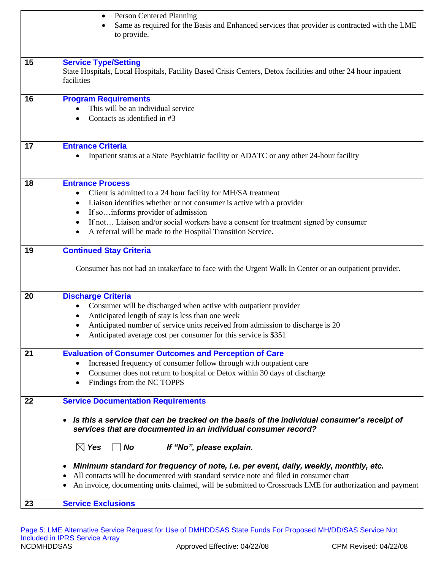|    | Person Centered Planning<br>٠<br>Same as required for the Basis and Enhanced services that provider is contracted with the LME<br>to provide.                                                                                                                                                                                                                              |
|----|----------------------------------------------------------------------------------------------------------------------------------------------------------------------------------------------------------------------------------------------------------------------------------------------------------------------------------------------------------------------------|
| 15 | <b>Service Type/Setting</b><br>State Hospitals, Local Hospitals, Facility Based Crisis Centers, Detox facilities and other 24 hour inpatient<br>facilities                                                                                                                                                                                                                 |
| 16 | <b>Program Requirements</b><br>This will be an individual service<br>Contacts as identified in #3                                                                                                                                                                                                                                                                          |
| 17 | <b>Entrance Criteria</b><br>Inpatient status at a State Psychiatric facility or ADATC or any other 24-hour facility                                                                                                                                                                                                                                                        |
| 18 | <b>Entrance Process</b><br>Client is admitted to a 24 hour facility for MH/SA treatment<br>Liaison identifies whether or not consumer is active with a provider<br>If so informs provider of admission<br>If not Liaison and/or social workers have a consent for treatment signed by consumer<br>$\bullet$<br>A referral will be made to the Hospital Transition Service. |
| 19 | <b>Continued Stay Criteria</b><br>Consumer has not had an intake/face to face with the Urgent Walk In Center or an outpatient provider.                                                                                                                                                                                                                                    |
| 20 | <b>Discharge Criteria</b><br>Consumer will be discharged when active with outpatient provider<br>Anticipated length of stay is less than one week<br>Anticipated number of service units received from admission to discharge is 20<br>Anticipated average cost per consumer for this service is \$351                                                                     |
| 21 | <b>Evaluation of Consumer Outcomes and Perception of Care</b><br>Increased frequency of consumer follow through with outpatient care<br>Consumer does not return to hospital or Detox within 30 days of discharge<br>$\bullet$<br>Findings from the NC TOPPS<br>$\bullet$                                                                                                  |
| 22 | <b>Service Documentation Requirements</b><br>Is this a service that can be tracked on the basis of the individual consumer's receipt of<br>$\bullet$<br>services that are documented in an individual consumer record?                                                                                                                                                     |
|    | $\boxtimes$ Yes<br>$\Box$ No<br>If "No", please explain.<br>Minimum standard for frequency of note, i.e. per event, daily, weekly, monthly, etc.<br>٠<br>All contacts will be documented with standard service note and filed in consumer chart<br>٠<br>An invoice, documenting units claimed, will be submitted to Crossroads LME for authorization and payment           |
| 23 | <b>Service Exclusions</b>                                                                                                                                                                                                                                                                                                                                                  |